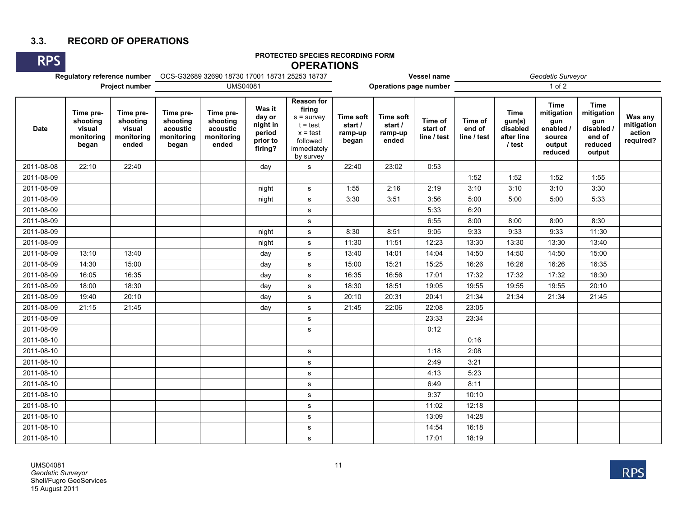## **3.3. RECORD OF OPERATIONS**

# **PROTECTED SPECIES RECORDING FORM OPERATIONS**

| Project number |                                                        |                                                        |                                                          | <b>UMS04081</b>                                          |                                                               |                                                                                                                 |                                                 | <b>Operations page number</b>            | Vessel name                        |                                  |                                                           | $1$ of $2$                                                                   | Geodetic Surveyor                                                             |                                              |  |  |  |
|----------------|--------------------------------------------------------|--------------------------------------------------------|----------------------------------------------------------|----------------------------------------------------------|---------------------------------------------------------------|-----------------------------------------------------------------------------------------------------------------|-------------------------------------------------|------------------------------------------|------------------------------------|----------------------------------|-----------------------------------------------------------|------------------------------------------------------------------------------|-------------------------------------------------------------------------------|----------------------------------------------|--|--|--|
| <b>Date</b>    | Time pre-<br>shooting<br>visual<br>monitoring<br>began | Time pre-<br>shooting<br>visual<br>monitoring<br>ended | Time pre-<br>shooting<br>acoustic<br>monitoring<br>began | Time pre-<br>shooting<br>acoustic<br>monitoring<br>ended | Was it<br>day or<br>night in<br>period<br>prior to<br>firing? | <b>Reason for</b><br>firing<br>$s =$ survey<br>$t = test$<br>$x = test$<br>followed<br>immediately<br>by survey | <b>Time soft</b><br>start /<br>ramp-up<br>began | Time soft<br>start /<br>ramp-up<br>ended | Time of<br>start of<br>line / test | Time of<br>end of<br>line / test | <b>Time</b><br>gun(s)<br>disabled<br>after line<br>/ test | <b>Time</b><br>mitigation<br>gun<br>enabled /<br>source<br>output<br>reduced | <b>Time</b><br>mitigation<br>gun<br>disabled /<br>end of<br>reduced<br>output | Was any<br>mitigation<br>action<br>required? |  |  |  |
| 2011-08-08     | 22:10                                                  | 22:40                                                  |                                                          |                                                          | day                                                           | ${\tt S}$                                                                                                       | 22:40                                           | 23:02                                    | 0:53                               |                                  |                                                           |                                                                              |                                                                               |                                              |  |  |  |
| 2011-08-09     |                                                        |                                                        |                                                          |                                                          |                                                               |                                                                                                                 |                                                 |                                          |                                    | 1:52                             | 1:52                                                      | 1:52                                                                         | 1:55                                                                          |                                              |  |  |  |
| 2011-08-09     |                                                        |                                                        |                                                          |                                                          | night                                                         | s                                                                                                               | 1:55                                            | 2:16                                     | 2:19                               | 3:10                             | 3:10                                                      | 3:10                                                                         | 3:30                                                                          |                                              |  |  |  |
| 2011-08-09     |                                                        |                                                        |                                                          |                                                          | night                                                         | ${\bf s}$                                                                                                       | 3:30                                            | 3:51                                     | 3:56                               | 5:00                             | 5:00                                                      | 5:00                                                                         | 5:33                                                                          |                                              |  |  |  |
| 2011-08-09     |                                                        |                                                        |                                                          |                                                          |                                                               | $\mathbf s$                                                                                                     |                                                 |                                          | 5:33                               | 6:20                             |                                                           |                                                                              |                                                                               |                                              |  |  |  |
| 2011-08-09     |                                                        |                                                        |                                                          |                                                          |                                                               | s                                                                                                               |                                                 |                                          | 6:55                               | 8:00                             | 8:00                                                      | 8:00                                                                         | 8:30                                                                          |                                              |  |  |  |
| 2011-08-09     |                                                        |                                                        |                                                          |                                                          | night                                                         | ${\bf s}$                                                                                                       | 8:30                                            | 8:51                                     | 9:05                               | 9:33                             | 9:33                                                      | 9:33                                                                         | 11:30                                                                         |                                              |  |  |  |
| 2011-08-09     |                                                        |                                                        |                                                          |                                                          | night                                                         | ${\bf s}$                                                                                                       | 11:30                                           | 11:51                                    | 12:23                              | 13:30                            | 13:30                                                     | 13:30                                                                        | 13:40                                                                         |                                              |  |  |  |
| 2011-08-09     | 13:10                                                  | 13:40                                                  |                                                          |                                                          | day                                                           | $\mathbf s$                                                                                                     | 13:40                                           | 14:01                                    | 14:04                              | 14:50                            | 14:50                                                     | 14:50                                                                        | 15:00                                                                         |                                              |  |  |  |
| 2011-08-09     | 14:30                                                  | 15:00                                                  |                                                          |                                                          | day                                                           | ${\bf s}$                                                                                                       | 15:00                                           | 15:21                                    | 15:25                              | 16:26                            | 16:26                                                     | 16:26                                                                        | 16:35                                                                         |                                              |  |  |  |
| 2011-08-09     | 16:05                                                  | 16:35                                                  |                                                          |                                                          | day                                                           | ${\tt S}$                                                                                                       | 16:35                                           | 16:56                                    | 17:01                              | 17:32                            | 17:32                                                     | 17:32                                                                        | 18:30                                                                         |                                              |  |  |  |
| 2011-08-09     | 18:00                                                  | 18:30                                                  |                                                          |                                                          | day                                                           | s                                                                                                               | 18:30                                           | 18:51                                    | 19:05                              | 19:55                            | 19:55                                                     | 19:55                                                                        | 20:10                                                                         |                                              |  |  |  |
| 2011-08-09     | 19:40                                                  | 20:10                                                  |                                                          |                                                          | day                                                           | s                                                                                                               | 20:10                                           | 20:31                                    | 20:41                              | 21:34                            | 21:34                                                     | 21:34                                                                        | 21:45                                                                         |                                              |  |  |  |
| 2011-08-09     | 21:15                                                  | 21:45                                                  |                                                          |                                                          | day                                                           | $\mathbf s$                                                                                                     | 21:45                                           | 22:06                                    | 22:08                              | 23:05                            |                                                           |                                                                              |                                                                               |                                              |  |  |  |
| 2011-08-09     |                                                        |                                                        |                                                          |                                                          |                                                               | s                                                                                                               |                                                 |                                          | 23:33                              | 23:34                            |                                                           |                                                                              |                                                                               |                                              |  |  |  |
| 2011-08-09     |                                                        |                                                        |                                                          |                                                          |                                                               | s                                                                                                               |                                                 |                                          | 0:12                               |                                  |                                                           |                                                                              |                                                                               |                                              |  |  |  |
| 2011-08-10     |                                                        |                                                        |                                                          |                                                          |                                                               |                                                                                                                 |                                                 |                                          |                                    | 0:16                             |                                                           |                                                                              |                                                                               |                                              |  |  |  |
| 2011-08-10     |                                                        |                                                        |                                                          |                                                          |                                                               | s                                                                                                               |                                                 |                                          | 1:18                               | 2:08                             |                                                           |                                                                              |                                                                               |                                              |  |  |  |
| 2011-08-10     |                                                        |                                                        |                                                          |                                                          |                                                               | s                                                                                                               |                                                 |                                          | 2:49                               | 3:21                             |                                                           |                                                                              |                                                                               |                                              |  |  |  |
| 2011-08-10     |                                                        |                                                        |                                                          |                                                          |                                                               | $\mathbf s$                                                                                                     |                                                 |                                          | 4:13                               | 5:23                             |                                                           |                                                                              |                                                                               |                                              |  |  |  |
| 2011-08-10     |                                                        |                                                        |                                                          |                                                          |                                                               | s                                                                                                               |                                                 |                                          | 6:49                               | 8:11                             |                                                           |                                                                              |                                                                               |                                              |  |  |  |
| 2011-08-10     |                                                        |                                                        |                                                          |                                                          |                                                               | s                                                                                                               |                                                 |                                          | 9:37                               | 10:10                            |                                                           |                                                                              |                                                                               |                                              |  |  |  |
| 2011-08-10     |                                                        |                                                        |                                                          |                                                          |                                                               | s                                                                                                               |                                                 |                                          | 11:02                              | 12:18                            |                                                           |                                                                              |                                                                               |                                              |  |  |  |
| 2011-08-10     |                                                        |                                                        |                                                          |                                                          |                                                               | s                                                                                                               |                                                 |                                          | 13:09                              | 14:28                            |                                                           |                                                                              |                                                                               |                                              |  |  |  |
| 2011-08-10     |                                                        |                                                        |                                                          |                                                          |                                                               | s                                                                                                               |                                                 |                                          | 14:54                              | 16:18                            |                                                           |                                                                              |                                                                               |                                              |  |  |  |
| 2011-08-10     |                                                        |                                                        |                                                          |                                                          |                                                               | s                                                                                                               |                                                 |                                          | 17:01                              | 18:19                            |                                                           |                                                                              |                                                                               |                                              |  |  |  |



**RPS**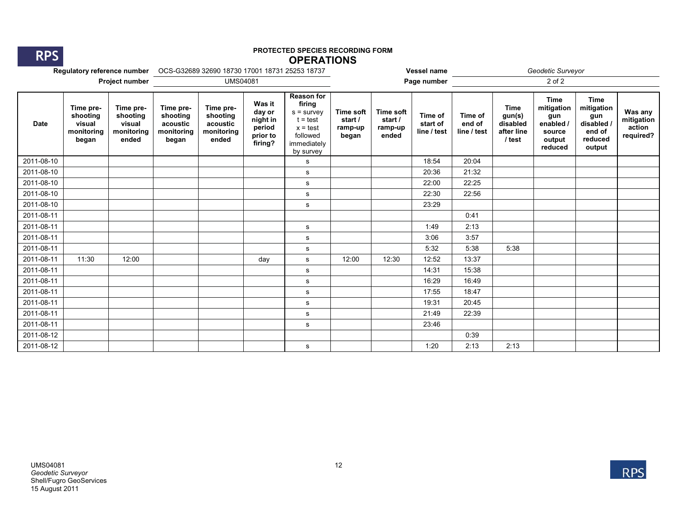**RPS**

#### **PROTECTED SPECIES RECORDING FORM OPERATIONS**

|                |                                                        |                                                        |                                                          |                                                          |                                                               |                                                                                                                 |                                          | Vessel name                                     |                                    |                                  | Geodetic Surveyor                                         |                                                                            |                                                                               |                                              |
|----------------|--------------------------------------------------------|--------------------------------------------------------|----------------------------------------------------------|----------------------------------------------------------|---------------------------------------------------------------|-----------------------------------------------------------------------------------------------------------------|------------------------------------------|-------------------------------------------------|------------------------------------|----------------------------------|-----------------------------------------------------------|----------------------------------------------------------------------------|-------------------------------------------------------------------------------|----------------------------------------------|
| Project number |                                                        |                                                        | <b>UMS04081</b>                                          |                                                          |                                                               |                                                                                                                 | Page number<br>2 of 2                    |                                                 |                                    |                                  |                                                           |                                                                            |                                                                               |                                              |
| <b>Date</b>    | Time pre-<br>shooting<br>visual<br>monitoring<br>began | Time pre-<br>shooting<br>visual<br>monitoring<br>ended | Time pre-<br>shooting<br>acoustic<br>monitoring<br>began | Time pre-<br>shooting<br>acoustic<br>monitoring<br>ended | Was it<br>day or<br>night in<br>period<br>prior to<br>firing? | <b>Reason for</b><br>firing<br>$s =$ survey<br>$t = test$<br>$x = test$<br>followed<br>immediately<br>by survey | Time soft<br>start /<br>ramp-up<br>began | <b>Time soft</b><br>start /<br>ramp-up<br>ended | Time of<br>start of<br>line / test | Time of<br>end of<br>line / test | <b>Time</b><br>gun(s)<br>disabled<br>after line<br>/ test | <b>Time</b><br>mitigation<br>gun<br>enabled<br>source<br>output<br>reduced | <b>Time</b><br>mitigation<br>gun<br>disabled /<br>end of<br>reduced<br>output | Was any<br>mitigation<br>action<br>required? |
| 2011-08-10     |                                                        |                                                        |                                                          |                                                          |                                                               | s                                                                                                               |                                          |                                                 | 18:54                              | 20:04                            |                                                           |                                                                            |                                                                               |                                              |
| 2011-08-10     |                                                        |                                                        |                                                          |                                                          |                                                               | s                                                                                                               |                                          |                                                 | 20:36                              | 21:32                            |                                                           |                                                                            |                                                                               |                                              |
| 2011-08-10     |                                                        |                                                        |                                                          |                                                          |                                                               | s                                                                                                               |                                          |                                                 | 22:00                              | 22:25                            |                                                           |                                                                            |                                                                               |                                              |
| 2011-08-10     |                                                        |                                                        |                                                          |                                                          |                                                               | $\mathbf s$                                                                                                     |                                          |                                                 | 22:30                              | 22:56                            |                                                           |                                                                            |                                                                               |                                              |
| 2011-08-10     |                                                        |                                                        |                                                          |                                                          |                                                               | s                                                                                                               |                                          |                                                 | 23:29                              |                                  |                                                           |                                                                            |                                                                               |                                              |
| 2011-08-11     |                                                        |                                                        |                                                          |                                                          |                                                               |                                                                                                                 |                                          |                                                 |                                    | 0:41                             |                                                           |                                                                            |                                                                               |                                              |
| 2011-08-11     |                                                        |                                                        |                                                          |                                                          |                                                               | s                                                                                                               |                                          |                                                 | 1:49                               | 2:13                             |                                                           |                                                                            |                                                                               |                                              |
| 2011-08-11     |                                                        |                                                        |                                                          |                                                          |                                                               | s                                                                                                               |                                          |                                                 | 3:06                               | 3:57                             |                                                           |                                                                            |                                                                               |                                              |
| 2011-08-11     |                                                        |                                                        |                                                          |                                                          |                                                               | s                                                                                                               |                                          |                                                 | 5:32                               | 5:38                             | 5:38                                                      |                                                                            |                                                                               |                                              |
| 2011-08-11     | 11:30                                                  | 12:00                                                  |                                                          |                                                          | day                                                           | s                                                                                                               | 12:00                                    | 12:30                                           | 12:52                              | 13:37                            |                                                           |                                                                            |                                                                               |                                              |
| 2011-08-11     |                                                        |                                                        |                                                          |                                                          |                                                               | s                                                                                                               |                                          |                                                 | 14:31                              | 15:38                            |                                                           |                                                                            |                                                                               |                                              |
| 2011-08-11     |                                                        |                                                        |                                                          |                                                          |                                                               | s                                                                                                               |                                          |                                                 | 16:29                              | 16:49                            |                                                           |                                                                            |                                                                               |                                              |
| 2011-08-11     |                                                        |                                                        |                                                          |                                                          |                                                               | s                                                                                                               |                                          |                                                 | 17:55                              | 18:47                            |                                                           |                                                                            |                                                                               |                                              |
| 2011-08-11     |                                                        |                                                        |                                                          |                                                          |                                                               | $\mathbf s$                                                                                                     |                                          |                                                 | 19:31                              | 20:45                            |                                                           |                                                                            |                                                                               |                                              |
| 2011-08-11     |                                                        |                                                        |                                                          |                                                          |                                                               | s                                                                                                               |                                          |                                                 | 21:49                              | 22:39                            |                                                           |                                                                            |                                                                               |                                              |
| 2011-08-11     |                                                        |                                                        |                                                          |                                                          |                                                               | s                                                                                                               |                                          |                                                 | 23:46                              |                                  |                                                           |                                                                            |                                                                               |                                              |
| 2011-08-12     |                                                        |                                                        |                                                          |                                                          |                                                               |                                                                                                                 |                                          |                                                 |                                    | 0:39                             |                                                           |                                                                            |                                                                               |                                              |
| 2011-08-12     |                                                        |                                                        |                                                          |                                                          |                                                               | s                                                                                                               |                                          |                                                 | 1:20                               | 2:13                             | 2:13                                                      |                                                                            |                                                                               |                                              |

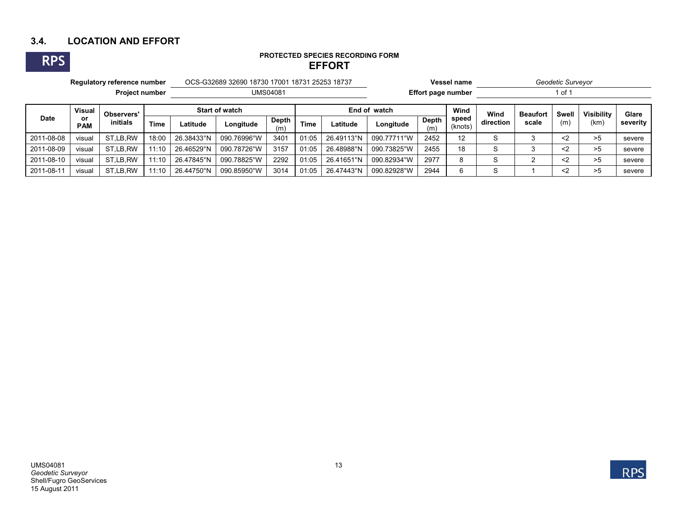## **3.4. LOCATION AND EFFORT**

**RPS**

# **PROTECTED SPECIES RECORDING FORM EFFORT**

|                       | Regulatory reference number |                               |             |                       | OCS-G32689 32690 18730 17001 18731 25253 18737 |              |             |                    |             |              | Vessel name      | Geodetic Surveyor |                 |           |                   |          |  |
|-----------------------|-----------------------------|-------------------------------|-------------|-----------------------|------------------------------------------------|--------------|-------------|--------------------|-------------|--------------|------------------|-------------------|-----------------|-----------|-------------------|----------|--|
| <b>Project number</b> |                             |                               |             |                       | <b>UMS04081</b>                                |              |             | Effort page number |             |              | 1 of 1           |                   |                 |           |                   |          |  |
|                       | <b>Visual</b>               | <b>Observers'</b><br>initials |             | <b>Start of watch</b> |                                                |              |             | End of watch       |             |              | Wind             | Wind              | <b>Beaufort</b> | Swell     | <b>Visibility</b> | Glare    |  |
| <b>Date</b>           | or<br><b>PAM</b>            |                               | <b>Time</b> | _atitude              | Longitude                                      | Depth<br>(m) | <b>Time</b> | Latitude           | Longitude   | Depth<br>(m) | speed<br>(knots) | direction         | scale           | (m)       | (km               | severity |  |
| 2011-08-08            | visual                      | ST.LB.RW                      | 18:00       | 26.38433°N            | 090.76996°W                                    | 3401         | 01:05       | 26.49113°N         | 090.77711°W | 2452         | 12               | S                 |                 | $\langle$ | >5                | severe   |  |
| 2011-08-09            | visual                      | ST.LB.RW                      | 11:10       | 26.46529°N            | 090.78726°W                                    | 3157         | 01:05       | 26.48988°N         | 090.73825°W | 2455         | 18               | S                 |                 | $<$ 2     | >5                | severe   |  |
| 2011-08-10            | visual                      | ST.LB.RW                      | 11:10       | 26.47845°N            | 090.78825°W                                    | 2292         | 01:05       | 26.41651°N         | 090.82934°W | 2977         |                  | S                 |                 | $\langle$ | >5                | severe   |  |
| 2011-08-11            | visual                      | ST.LB.RW                      | 11:10       | 26.44750°N            | 090.85950°W                                    | 3014         | 01:05       | 26.47443°N         | 090.82928°W | 2944         | 6                | S.                |                 | <2        | >5                | severe   |  |

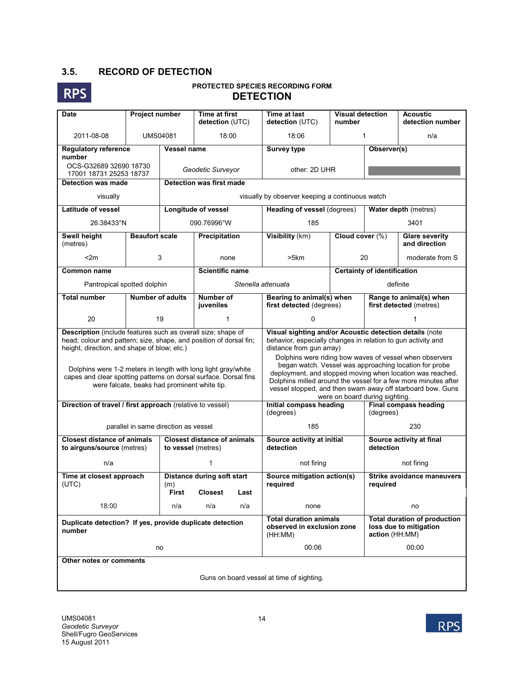## **3.5. RECORD OF DETECTION**



### **PROTECTED SPECIES RECORDING FORM DETECTION**

| Project number<br><b>Date</b>                                                                                                                                                     |                                      |                    | <b>Time at first</b><br>detection (UTC)                                                                                                                                           | <b>Time at last</b><br>detection (UTC)                                                                                                                                                                                                                                                                                                                                                                                                                                                                  | <b>Visual detection</b><br>number |                                                                                 | <b>Acoustic</b><br>detection number    |  |  |  |  |  |  |
|-----------------------------------------------------------------------------------------------------------------------------------------------------------------------------------|--------------------------------------|--------------------|-----------------------------------------------------------------------------------------------------------------------------------------------------------------------------------|---------------------------------------------------------------------------------------------------------------------------------------------------------------------------------------------------------------------------------------------------------------------------------------------------------------------------------------------------------------------------------------------------------------------------------------------------------------------------------------------------------|-----------------------------------|---------------------------------------------------------------------------------|----------------------------------------|--|--|--|--|--|--|
| 2011-08-08                                                                                                                                                                        |                                      | <b>UMS04081</b>    | 18:00                                                                                                                                                                             | 18:06                                                                                                                                                                                                                                                                                                                                                                                                                                                                                                   | 1                                 |                                                                                 | n/a                                    |  |  |  |  |  |  |
| <b>Regulatory reference</b><br>number                                                                                                                                             |                                      | Vessel name        |                                                                                                                                                                                   | <b>Survey type</b>                                                                                                                                                                                                                                                                                                                                                                                                                                                                                      |                                   | Observer(s)                                                                     |                                        |  |  |  |  |  |  |
| OCS-G32689 32690 18730<br>17001 18731 25253 18737                                                                                                                                 |                                      |                    | Geodetic Surveyor                                                                                                                                                                 | other: 2D UHR                                                                                                                                                                                                                                                                                                                                                                                                                                                                                           |                                   |                                                                                 |                                        |  |  |  |  |  |  |
| <b>Detection was made</b>                                                                                                                                                         |                                      |                    | <b>Detection was first made</b>                                                                                                                                                   |                                                                                                                                                                                                                                                                                                                                                                                                                                                                                                         |                                   |                                                                                 |                                        |  |  |  |  |  |  |
| visually                                                                                                                                                                          |                                      |                    | visually by observer keeping a continuous watch                                                                                                                                   |                                                                                                                                                                                                                                                                                                                                                                                                                                                                                                         |                                   |                                                                                 |                                        |  |  |  |  |  |  |
| <b>Latitude of vessel</b>                                                                                                                                                         |                                      |                    | <b>Longitude of vessel</b>                                                                                                                                                        | Heading of vessel (degrees)                                                                                                                                                                                                                                                                                                                                                                                                                                                                             |                                   | Water depth (metres)                                                            |                                        |  |  |  |  |  |  |
| 26.38433°N                                                                                                                                                                        |                                      |                    | 090.76996°W                                                                                                                                                                       | 185                                                                                                                                                                                                                                                                                                                                                                                                                                                                                                     |                                   | 3401                                                                            |                                        |  |  |  |  |  |  |
| Swell height<br>(metres)                                                                                                                                                          | <b>Beaufort scale</b>                |                    | Precipitation                                                                                                                                                                     | Visibility (km)                                                                                                                                                                                                                                                                                                                                                                                                                                                                                         |                                   | Cloud cover (%)                                                                 | <b>Glare severity</b><br>and direction |  |  |  |  |  |  |
| < 2m                                                                                                                                                                              |                                      | 3                  | none                                                                                                                                                                              | >5km                                                                                                                                                                                                                                                                                                                                                                                                                                                                                                    | 20                                |                                                                                 | moderate from S                        |  |  |  |  |  |  |
| <b>Common name</b>                                                                                                                                                                |                                      |                    | <b>Scientific name</b>                                                                                                                                                            |                                                                                                                                                                                                                                                                                                                                                                                                                                                                                                         |                                   | <b>Certainty of identification</b>                                              |                                        |  |  |  |  |  |  |
| Pantropical spotted dolphin                                                                                                                                                       |                                      |                    |                                                                                                                                                                                   | Stenella attenuata                                                                                                                                                                                                                                                                                                                                                                                                                                                                                      |                                   | definite                                                                        |                                        |  |  |  |  |  |  |
| <b>Total number</b>                                                                                                                                                               | <b>Number of adults</b>              |                    | <b>Number of</b><br>juveniles                                                                                                                                                     | Bearing to animal(s) when<br>first detected (degrees)                                                                                                                                                                                                                                                                                                                                                                                                                                                   |                                   | Range to animal(s) when<br>first detected (metres)                              |                                        |  |  |  |  |  |  |
| 20                                                                                                                                                                                |                                      | 19                 | 1                                                                                                                                                                                 | 0                                                                                                                                                                                                                                                                                                                                                                                                                                                                                                       |                                   |                                                                                 |                                        |  |  |  |  |  |  |
| Description (include features such as overall size; shape of<br>head; colour and pattern; size, shape, and position of dorsal fin;<br>height, direction, and shape of blow; etc.) |                                      |                    | Dolphins were 1-2 meters in length with long light gray/white<br>capes and clear spotting patterns on dorsal surface. Dorsal fins<br>were falcate, beaks had prominent white tip. | Visual sighting and/or Acoustic detection details (note<br>behavior, especially changes in relation to gun activity and<br>distance from gun array)<br>Dolphins were riding bow waves of vessel when observers<br>began watch. Vessel was approaching location for probe<br>deployment, and stopped moving when location was reached.<br>Dolphins milled around the vessel for a few more minutes after<br>vessel stopped, and then swam away off starboard bow. Guns<br>were on board during sighting. |                                   |                                                                                 |                                        |  |  |  |  |  |  |
| Direction of travel / first approach (relative to vessel)                                                                                                                         |                                      |                    |                                                                                                                                                                                   | Initial compass heading<br>(degrees)                                                                                                                                                                                                                                                                                                                                                                                                                                                                    |                                   | <b>Final compass heading</b><br>(degrees)                                       |                                        |  |  |  |  |  |  |
|                                                                                                                                                                                   | parallel in same direction as vessel |                    |                                                                                                                                                                                   | 185                                                                                                                                                                                                                                                                                                                                                                                                                                                                                                     |                                   |                                                                                 | 230                                    |  |  |  |  |  |  |
| <b>Closest distance of animals</b><br>to airguns/source (metres)                                                                                                                  |                                      | to vessel (metres) | <b>Closest distance of animals</b>                                                                                                                                                | Source activity at initial<br>detection                                                                                                                                                                                                                                                                                                                                                                                                                                                                 |                                   | Source activity at final<br>detection                                           |                                        |  |  |  |  |  |  |
| n/a                                                                                                                                                                               |                                      |                    | 1                                                                                                                                                                                 | not firing                                                                                                                                                                                                                                                                                                                                                                                                                                                                                              |                                   | not firing                                                                      |                                        |  |  |  |  |  |  |
| Time at closest approach<br>(UTC)                                                                                                                                                 |                                      | (m)<br>First       | <b>Distance during soft start</b><br><b>Closest</b><br>Last                                                                                                                       | Source mitigation action(s)<br>required                                                                                                                                                                                                                                                                                                                                                                                                                                                                 |                                   | <b>Strike avoidance maneuvers</b><br>required                                   |                                        |  |  |  |  |  |  |
| 18:00                                                                                                                                                                             |                                      | n/a                | n/a<br>n/a                                                                                                                                                                        | none                                                                                                                                                                                                                                                                                                                                                                                                                                                                                                    |                                   |                                                                                 | no                                     |  |  |  |  |  |  |
| Duplicate detection? If yes, provide duplicate detection<br>number                                                                                                                |                                      |                    |                                                                                                                                                                                   | <b>Total duration animals</b><br>observed in exclusion zone<br>(HH:MM)                                                                                                                                                                                                                                                                                                                                                                                                                                  |                                   | <b>Total duration of production</b><br>loss due to mitigation<br>action (HH:MM) |                                        |  |  |  |  |  |  |
|                                                                                                                                                                                   |                                      | no                 |                                                                                                                                                                                   | 00:06<br>00:00                                                                                                                                                                                                                                                                                                                                                                                                                                                                                          |                                   |                                                                                 |                                        |  |  |  |  |  |  |
| Other notes or comments                                                                                                                                                           |                                      |                    |                                                                                                                                                                                   |                                                                                                                                                                                                                                                                                                                                                                                                                                                                                                         |                                   |                                                                                 |                                        |  |  |  |  |  |  |
| Guns on board vessel at time of sighting.                                                                                                                                         |                                      |                    |                                                                                                                                                                                   |                                                                                                                                                                                                                                                                                                                                                                                                                                                                                                         |                                   |                                                                                 |                                        |  |  |  |  |  |  |